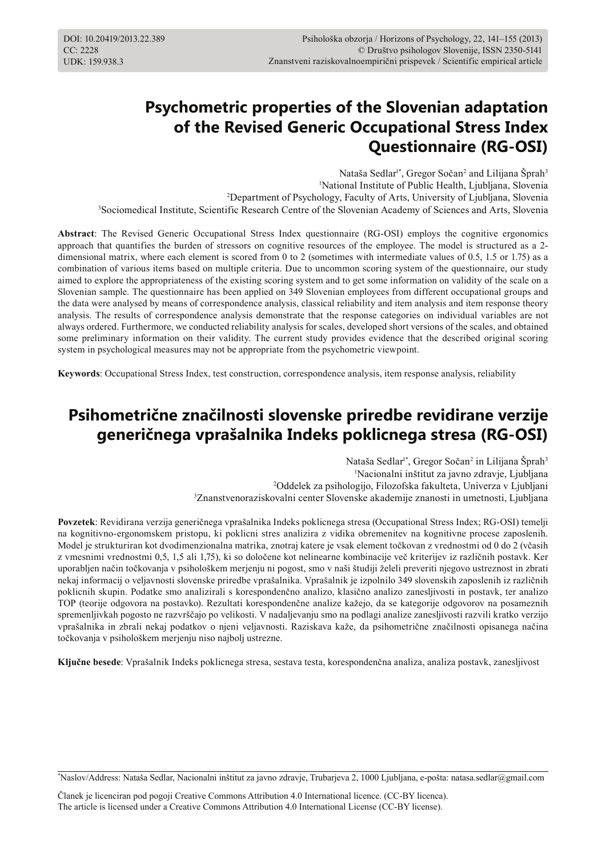# **Psychometric properties of the Slovenian adaptation of the Revised Generic Occupational Stress Index Questionnaire (RG-OSI)**

Nataša Sedlar<sup>1\*</sup>, Gregor Sočan<sup>2</sup> and Lilijana Šprah<sup>3</sup> National Institute of Public Health, Ljubljana, Slovenia Department of Psychology, Faculty of Arts, University of Ljubljana, Slovenia Sociomedical Institute, Scientific Research Centre of the Slovenian Academy of Sciences and Arts, Slovenia

**Abstract**: The Revised Generic Occupational Stress Index questionnaire (RG-OSI) employs the cognitive ergonomics approach that quantifies the burden of stressors on cognitive resources of the employee. The model is structured as a 2 dimensional matrix, where each element is scored from 0 to 2 (sometimes with intermediate values of 0.5, 1.5 or 1.75) as a combination of various items based on multiple criteria. Due to uncommon scoring system of the questionnaire, our study aimed to explore the appropriateness of the existing scoring system and to get some information on validity of the scale on a Slovenian sample. The questionnaire has been applied on 349 Slovenian employees from different occupational groups and the data were analysed by means of correspondence analysis, classical reliability and item analysis and item response theory analysis. The results of correspondence analysis demonstrate that the response categories on individual variables are not always ordered. Furthermore, we conducted reliability analysis for scales, developed short versions of the scales, and obtained some preliminary information on their validity. The current study provides evidence that the described original scoring system in psychological measures may not be appropriate from the psychometric viewpoint.

**Keywords**: Occupational Stress Index, test construction, correspondence analysis, item response analysis, reliability

# **Psihometrične značilnosti slovenske priredbe revidirane verzije generičnega vprašalnika Indeks poklicnega stresa (RG-OSI)**

Nataša Sedlar<sup>1\*</sup>, Gregor Sočan<sup>2</sup> in Lilijana Šprah<sup>3</sup> Nacionalni inštitut za javno zdravje, Ljubljana Oddelek za psihologijo, Filozofska fakulteta, Univerza v Ljubljani Znanstvenoraziskovalni center Slovenske akademije znanosti in umetnosti, Ljubljana

**Povzetek**: Revidirana verzija generičnega vprašalnika Indeks poklicnega stresa (Occupational Stress Index; RG-OSI) temelji na kognitivno-ergonomskem pristopu, ki poklicni stres analizira z vidika obremenitev na kognitivne procese zaposlenih. Model je strukturiran kot dvodimenzionalna matrika, znotraj katere je vsak element točkovan z vrednostmi od 0 do 2 (včasih z vmesnimi vrednostmi 0,5, 1,5 ali 1,75), ki so določene kot nelinearne kombinacije več kriterijev iz različnih postavk. Ker uporabljen način točkovanja v psihološkem merjenju ni pogost, smo v naši študiji želeli preveriti njegovo ustreznost in zbrati nekaj informacij o veljavnosti slovenske priredbe vprašalnika. Vprašalnik je izpolnilo 349 slovenskih zaposlenih iz različnih poklicnih skupin. Podatke smo analizirali s korespondenčno analizo, klasično analizo zanesljivosti in postavk, ter analizo TOP (teorije odgovora na postavko). Rezultati korespondenčne analize kažejo, da se kategorije odgovorov na posameznih spremenljivkah pogosto ne razvrščajo po velikosti. V nadaljevanju smo na podlagi analize zanesljivosti razvili kratko verzijo vprašalnika in zbrali nekaj podatkov o njeni veljavnosti. Raziskava kaže, da psihometrične značilnosti opisanega načina točkovanja v psihološkem merjenju niso najbolj ustrezne.

**Ključne besede**: Vprašalnik Indeks poklicnega stresa, sestava testa, korespondenčna analiza, analiza postavk, zanesljivost

\* Naslov/Address: Nataša Sedlar, Nacionalni inštitut za javno zdravje, Trubarjeva 2, 1000 Ljubljana, e-pošta: natasa.sedlar@gmail.com

Članek je licenciran pod pogoji Creative Commons Attribution 4.0 International licence. (CC-BY licenca). The article is licensed under a Creative Commons Attribution 4.0 International License (CC-BY license).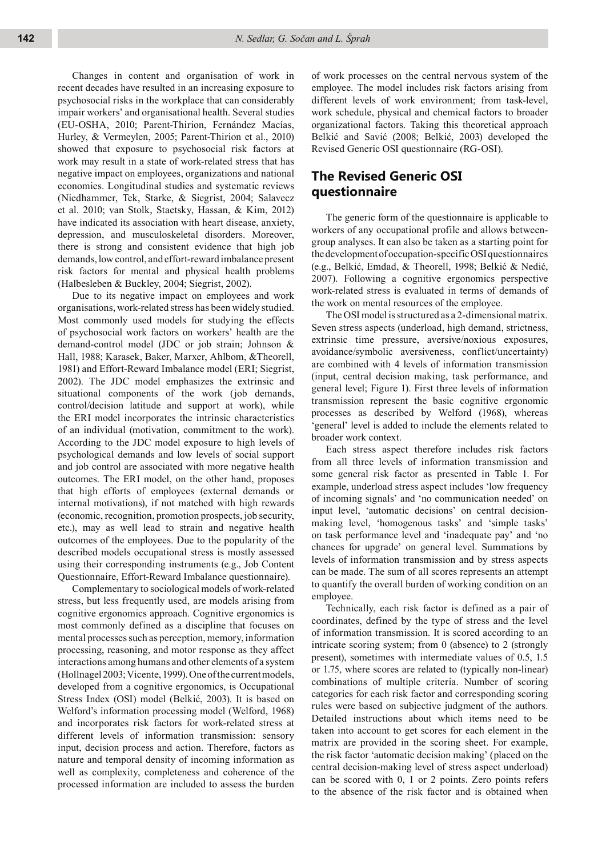Changes in content and organisation of work in recent decades have resulted in an increasing exposure to psychosocial risks in the workplace that can considerably impair workers' and organisational health. Several studies (EU-OSHA, 2010; Parent-Thirion, Fernández Macías, Hurley, & Vermeylen, 2005; Parent-Thirion et al., 2010) showed that exposure to psychosocial risk factors at work may result in a state of work-related stress that has negative impact on employees, organizations and national economies. Longitudinal studies and systematic reviews (Niedhammer, Tek, Starke, & Siegrist, 2004; Salavecz et al. 2010; van Stolk, Staetsky, Hassan, & Kim, 2012) have indicated its association with heart disease, anxiety, depression, and musculoskeletal disorders. Moreover, there is strong and consistent evidence that high job demands, low control, and effort-reward imbalance present risk factors for mental and physical health problems (Halbesleben & Buckley, 2004; Siegrist, 2002).

Due to its negative impact on employees and work organisations, work-related stress has been widely studied. Most commonly used models for studying the effects of psychosocial work factors on workers' health are the demand-control model (JDC or job strain; Johnson & Hall, 1988; Karasek, Baker, Marxer, Ahlbom, &Theorell, 1981) and Effort-Reward Imbalance model (ERI; Siegrist, 2002). The JDC model emphasizes the extrinsic and situational components of the work (job demands, control/decision latitude and support at work), while the ERI model incorporates the intrinsic characteristics of an individual (motivation, commitment to the work). According to the JDC model exposure to high levels of psychological demands and low levels of social support and job control are associated with more negative health outcomes. The ERI model, on the other hand, proposes that high efforts of employees (external demands or internal motivations), if not matched with high rewards (economic, recognition, promotion prospects, job security, etc.), may as well lead to strain and negative health outcomes of the employees. Due to the popularity of the described models occupational stress is mostly assessed using their corresponding instruments (e.g., Job Content Questionnaire, Effort-Reward Imbalance questionnaire).

Complementary to sociological models of work-related stress, but less frequently used, are models arising from cognitive ergonomics approach. Cognitive ergonomics is most commonly defined as a discipline that focuses on mental processes such as perception, memory, information processing, reasoning, and motor response as they affect interactions among humans and other elements of a system (Hollnagel 2003; Vicente, 1999). One of the current models, developed from a cognitive ergonomics, is Occupational Stress Index (OSI) model (Belkić, 2003). It is based on Welford's information processing model (Welford, 1968) and incorporates risk factors for work-related stress at different levels of information transmission: sensory input, decision process and action. Therefore, factors as nature and temporal density of incoming information as well as complexity, completeness and coherence of the processed information are included to assess the burden

of work processes on the central nervous system of the employee. The model includes risk factors arising from different levels of work environment; from task-level, work schedule, physical and chemical factors to broader organizational factors. Taking this theoretical approach Belkić and Savić (2008; Belkić, 2003) developed the Revised Generic OSI questionnaire (RG-OSI).

# **The Revised Generic OSI questionnaire**

The generic form of the questionnaire is applicable to workers of any occupational profile and allows betweengroup analyses. It can also be taken as a starting point for the development of occupation-specific OSI questionnaires (e.g., Belkić, Emdad, & Theorell, 1998; Belkić & Nedić, 2007). Following a cognitive ergonomics perspective work-related stress is evaluated in terms of demands of the work on mental resources of the employee.

The OSI model is structured as a 2-dimensional matrix. Seven stress aspects (underload, high demand, strictness, extrinsic time pressure, aversive/noxious exposures, avoidance/symbolic aversiveness, conflict/uncertainty) are combined with 4 levels of information transmission (input, central decision making, task performance, and general level; Figure 1). First three levels of information transmission represent the basic cognitive ergonomic processes as described by Welford (1968), whereas 'general' level is added to include the elements related to broader work context.

Each stress aspect therefore includes risk factors from all three levels of information transmission and some general risk factor as presented in Table 1. For example, underload stress aspect includes 'low frequency of incoming signals' and 'no communication needed' on input level, 'automatic decisions' on central decisionmaking level, 'homogenous tasks' and 'simple tasks' on task performance level and 'inadequate pay' and 'no chances for upgrade' on general level. Summations by levels of information transmission and by stress aspects can be made. The sum of all scores represents an attempt to quantify the overall burden of working condition on an employee.

Technically, each risk factor is defined as a pair of coordinates, defined by the type of stress and the level of information transmission. It is scored according to an intricate scoring system; from 0 (absence) to 2 (strongly present), sometimes with intermediate values of 0.5, 1.5 or 1.75, where scores are related to (typically non-linear) combinations of multiple criteria. Number of scoring categories for each risk factor and corresponding scoring rules were based on subjective judgment of the authors. Detailed instructions about which items need to be taken into account to get scores for each element in the matrix are provided in the scoring sheet. For example, the risk factor 'automatic decision making' (placed on the central decision-making level of stress aspect underload) can be scored with 0, 1 or 2 points. Zero points refers to the absence of the risk factor and is obtained when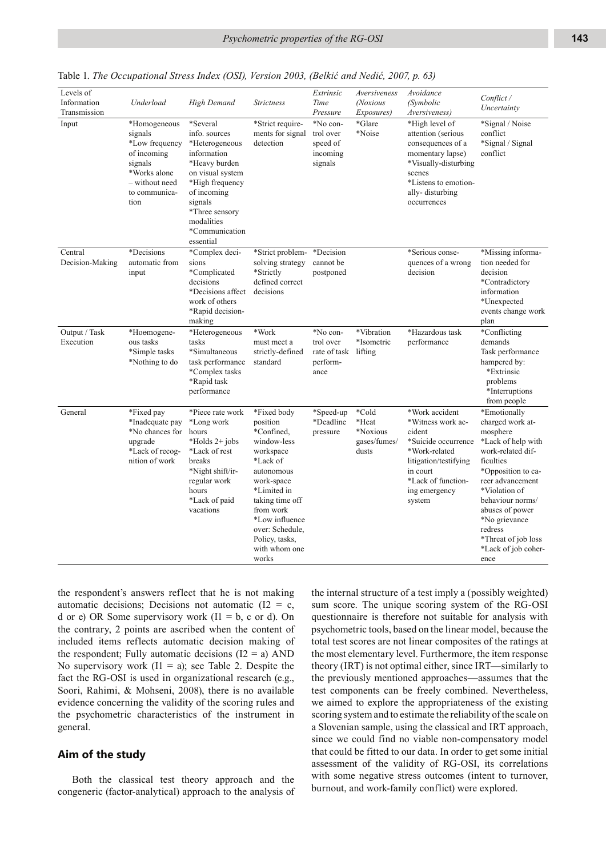| Levels of<br>Information<br>Transmission | Underload                                                                                                                      | High Demand                                                                                                                                                                                                 | <b>Strictness</b>                                                                                                                                                                                                                         | Extrinsic<br>Time<br>Pressure                                     | Aversiveness<br><i>(Noxious</i><br>Exposures)       | Avoidance<br>(Symbolic<br>Aversiveness)                                                                                                                                     | Conflict /<br>Uncertainty                                                                                                                                                                                                                                                                |
|------------------------------------------|--------------------------------------------------------------------------------------------------------------------------------|-------------------------------------------------------------------------------------------------------------------------------------------------------------------------------------------------------------|-------------------------------------------------------------------------------------------------------------------------------------------------------------------------------------------------------------------------------------------|-------------------------------------------------------------------|-----------------------------------------------------|-----------------------------------------------------------------------------------------------------------------------------------------------------------------------------|------------------------------------------------------------------------------------------------------------------------------------------------------------------------------------------------------------------------------------------------------------------------------------------|
| Input                                    | *Homogeneous<br>signals<br>*Low frequency<br>of incoming<br>signals<br>*Works alone<br>- without need<br>to communica-<br>tion | *Several<br>info. sources<br>*Heterogeneous<br>information<br>*Heavy burden<br>on visual system<br>*High frequency<br>of incoming<br>signals<br>*Three sensory<br>modalities<br>*Communication<br>essential | *Strict require-<br>ments for signal<br>detection                                                                                                                                                                                         | *No con-<br>trol over<br>speed of<br>incoming<br>signals          | *Glare<br>*Noise                                    | *High level of<br>attention (serious<br>consequences of a<br>momentary lapse)<br>*Visually-disturbing<br>scenes<br>*Listens to emotion-<br>ally-disturbing<br>occurrences   | *Signal / Noise<br>conflict<br>*Signal / Signal<br>conflict                                                                                                                                                                                                                              |
| Central<br>Decision-Making               | *Decisions<br>automatic from<br>input                                                                                          | *Complex deci-<br>sions<br>*Complicated<br>decisions<br>*Decisions affect<br>work of others<br>*Rapid decision-<br>making                                                                                   | *Strict problem-<br>solving strategy<br>*Strictly<br>defined correct<br>decisions                                                                                                                                                         | *Decision<br>cannot be<br>postponed                               |                                                     | *Serious conse-<br>quences of a wrong<br>decision                                                                                                                           | *Missing informa-<br>tion needed for<br>decision<br>*Contradictory<br>information<br>*Unexpected<br>events change work<br>plan                                                                                                                                                           |
| Output / Task<br>Execution               | *Hoomogene-<br>ous tasks<br>*Simple tasks<br>*Nothing to do                                                                    | *Heterogeneous<br>tasks<br>*Simultaneous<br>task performance<br>*Complex tasks<br>*Rapid task<br>performance                                                                                                | *Work<br>must meet a<br>strictly-defined<br>standard                                                                                                                                                                                      | *No con-<br>trol over<br>rate of task lifting<br>perform-<br>ance | *Vibration<br>*Isometric                            | *Hazardous task<br>performance                                                                                                                                              | *Conflicting<br>demands<br>Task performance<br>hampered by:<br>*Extrinsic<br>problems<br>*Interruptions<br>from people                                                                                                                                                                   |
| General                                  | *Fixed pay<br>*Inadequate pay<br>*No chances for<br>upgrade<br>*Lack of recog-<br>nition of work                               | *Piece rate work<br>*Long work<br>hours<br>*Holds $2+$ jobs<br>*Lack of rest<br>breaks<br>*Night shift/ir-<br>regular work<br>hours<br>*Lack of paid<br>vacations                                           | *Fixed body<br>position<br>*Confined.<br>window-less<br>workspace<br>*Lack of<br>autonomous<br>work-space<br>*Limited in<br>taking time off<br>from work<br>*Low influence<br>over: Schedule,<br>Policy, tasks,<br>with whom one<br>works | *Speed-up<br>*Deadline<br>pressure                                | *Cold<br>*Heat<br>*Noxious<br>gases/fumes/<br>dusts | *Work accident<br>*Witness work ac-<br>cident<br>*Suicide occurrence<br>*Work-related<br>litigation/testifying<br>in court<br>*Lack of function-<br>ing emergency<br>system | *Emotionally<br>charged work at-<br>mosphere<br>*Lack of help with<br>work-related dif-<br>ficulties<br>*Opposition to ca-<br>reer advancement<br>*Violation of<br>behaviour norms/<br>abuses of power<br>*No grievance<br>redress<br>*Threat of job loss<br>*Lack of job coher-<br>ence |

Table 1. *The Occupational Stress Index (OSI), Version 2003, (Belkić and Nedić, 2007, p. 63)*

the respondent's answers reflect that he is not making automatic decisions; Decisions not automatic ( $I2 = c$ , d or e) OR Some supervisory work  $(11 = b, c \text{ or } d)$ . On the contrary, 2 points are ascribed when the content of included items reflects automatic decision making of the respondent; Fully automatic decisions  $(I2 = a)$  AND No supervisory work  $(11 = a)$ ; see Table 2. Despite the fact the RG-OSI is used in organizational research (e.g., Soori, Rahimi, & Mohseni, 2008), there is no available evidence concerning the validity of the scoring rules and the psychometric characteristics of the instrument in general.

# **Aim of the study**

Both the classical test theory approach and the congeneric (factor-analytical) approach to the analysis of the internal structure of a test imply a (possibly weighted) sum score. The unique scoring system of the RG-OSI questionnaire is therefore not suitable for analysis with psychometric tools, based on the linear model, because the total test scores are not linear composites of the ratings at the most elementary level. Furthermore, the item response theory (IRT) is not optimal either, since IRT—similarly to the previously mentioned approaches—assumes that the test components can be freely combined. Nevertheless, we aimed to explore the appropriateness of the existing scoring system and to estimate the reliability of the scale on a Slovenian sample, using the classical and IRT approach, since we could find no viable non-compensatory model that could be fitted to our data. In order to get some initial assessment of the validity of RG-OSI, its correlations with some negative stress outcomes (intent to turnover, burnout, and work-family conflict) were explored.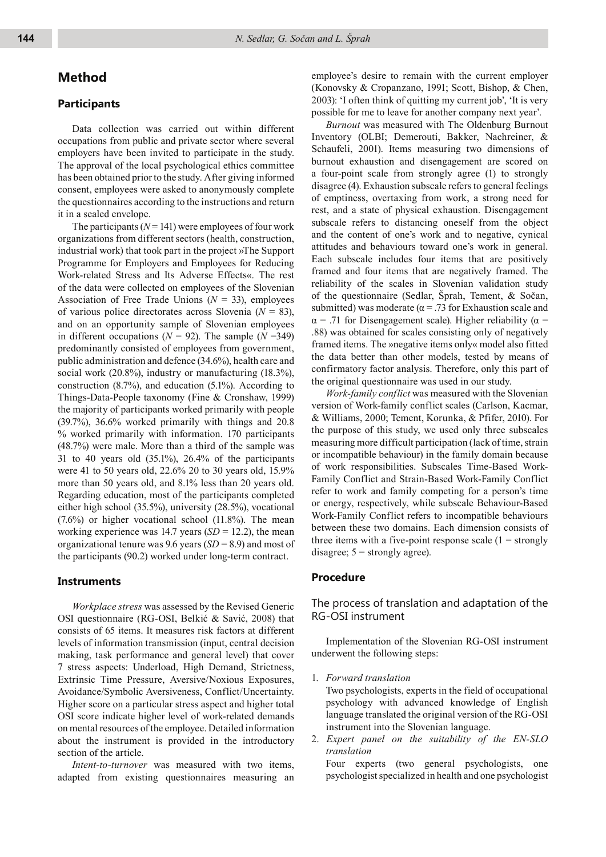# **Method**

## **Participants**

Data collection was carried out within different occupations from public and private sector where several employers have been invited to participate in the study. The approval of the local psychological ethics committee has been obtained prior to the study. After giving informed consent, employees were asked to anonymously complete the questionnaires according to the instructions and return it in a sealed envelope.

The participants  $(N = 141)$  were employees of four work organizations from different sectors (health, construction, industrial work) that took part in the project »The Support Programme for Employers and Employees for Reducing Work-related Stress and Its Adverse Effects«. The rest of the data were collected on employees of the Slovenian Association of Free Trade Unions  $(N = 33)$ , employees of various police directorates across Slovenia (*N* = 83), and on an opportunity sample of Slovenian employees in different occupations  $(N = 92)$ . The sample  $(N = 349)$ predominantly consisted of employees from government, public administration and defence (34.6%), health care and social work (20.8%), industry or manufacturing (18.3%), construction (8.7%), and education (5.1%). According to Things-Data-People taxonomy (Fine & Cronshaw, 1999) the majority of participants worked primarily with people (39.7%), 36.6% worked primarily with things and 20.8 % worked primarily with information. 170 participants (48.7%) were male. More than a third of the sample was 31 to 40 years old (35.1%), 26.4% of the participants were 41 to 50 years old, 22.6% 20 to 30 years old, 15.9% more than 50 years old, and 8.1% less than 20 years old. Regarding education, most of the participants completed either high school (35.5%), university (28.5%), vocational  $(7.6\%)$  or higher vocational school  $(11.8\%)$ . The mean working experience was 14.7 years  $(SD = 12.2)$ , the mean organizational tenure was 9.6 years (*SD* = 8.9) and most of the participants (90.2) worked under long-term contract.

### **Instruments**

*Workplace stress* was assessed by the Revised Generic OSI questionnaire (RG-OSI, Belkić & Savić, 2008) that consists of 65 items. It measures risk factors at different levels of information transmission (input, central decision making, task performance and general level) that cover 7 stress aspects: Underload, High Demand, Strictness, Extrinsic Time Pressure, Aversive/Noxious Exposures, Avoidance/Symbolic Aversiveness, Conflict/Uncertainty. Higher score on a particular stress aspect and higher total OSI score indicate higher level of work-related demands on mental resources of the employee. Detailed information about the instrument is provided in the introductory section of the article.

*Intent-to-turnover* was measured with two items, adapted from existing questionnaires measuring an employee's desire to remain with the current employer (Konovsky & Cropanzano, 1991; Scott, Bishop, & Chen, 2003): 'I often think of quitting my current job', 'It is very possible for me to leave for another company next year'.

*Burnout* was measured with The Oldenburg Burnout Inventory (OLBI; Demerouti, Bakker, Nachreiner, & Schaufeli, 2001). Items measuring two dimensions of burnout exhaustion and disengagement are scored on a four-point scale from strongly agree (1) to strongly disagree (4). Exhaustion subscale refers to general feelings of emptiness, overtaxing from work, a strong need for rest, and a state of physical exhaustion. Disengagement subscale refers to distancing oneself from the object and the content of one's work and to negative, cynical attitudes and behaviours toward one's work in general. Each subscale includes four items that are positively framed and four items that are negatively framed. The reliability of the scales in Slovenian validation study of the questionnaire (Sedlar, Šprah, Tement, & Sočan, submitted) was moderate ( $\alpha$  = .73 for Exhaustion scale and  $\alpha$  = .71 for Disengagement scale). Higher reliability ( $\alpha$  = .88) was obtained for scales consisting only of negatively framed items. The »negative items only« model also fitted the data better than other models, tested by means of confirmatory factor analysis. Therefore, only this part of the original questionnaire was used in our study.

*Work-family conflict* was measured with the Slovenian version of Work-family conflict scales (Carlson, Kacmar, & Williams, 2000; Tement, Korunka, & Pfifer, 2010). For the purpose of this study, we used only three subscales measuring more difficult participation (lack of time, strain or incompatible behaviour) in the family domain because of work responsibilities. Subscales Time-Based Work-Family Conflict and Strain-Based Work-Family Conflict refer to work and family competing for a person's time or energy, respectively, while subscale Behaviour-Based Work-Family Conflict refers to incompatible behaviours between these two domains. Each dimension consists of three items with a five-point response scale  $(1 =$  strongly disagree;  $5 =$  strongly agree).

## **Procedure**

# The process of translation and adaptation of the RG-OSI instrument

Implementation of the Slovenian RG-OSI instrument underwent the following steps:

1. *Forward translation*

 Two psychologists, experts in the field of occupational psychology with advanced knowledge of English language translated the original version of the RG-OSI instrument into the Slovenian language.

2. *Expert panel on the suitability of the EN-SLO translation* 

 Four experts (two general psychologists, one psychologist specialized in health and one psychologist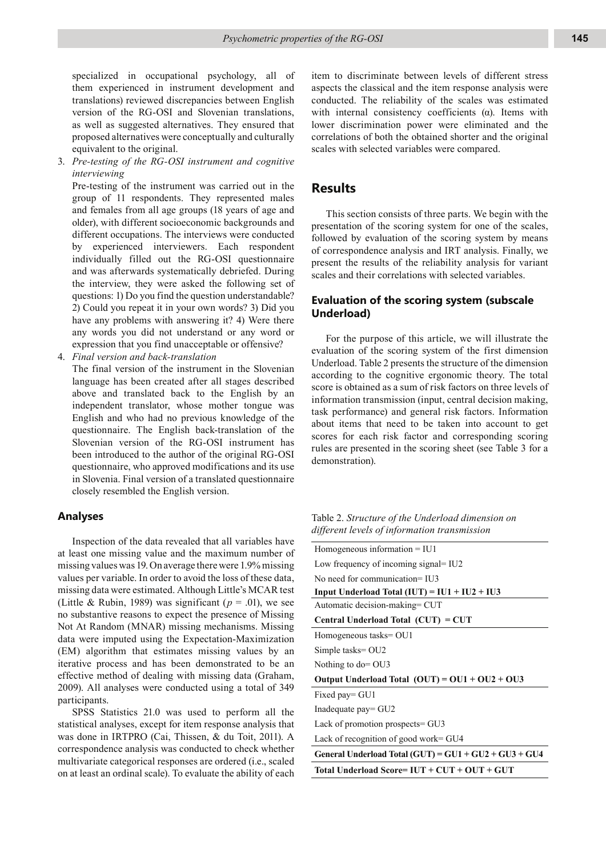specialized in occupational psychology, all of them experienced in instrument development and translations) reviewed discrepancies between English version of the RG-OSI and Slovenian translations, as well as suggested alternatives. They ensured that proposed alternatives were conceptually and culturally equivalent to the original.

3. *Pre-testing of the RG-OSI instrument and cognitive interviewing*

 Pre-testing of the instrument was carried out in the group of 11 respondents. They represented males and females from all age groups (18 years of age and older), with different socioeconomic backgrounds and different occupations. The interviews were conducted by experienced interviewers. Each respondent individually filled out the RG-OSI questionnaire and was afterwards systematically debriefed. During the interview, they were asked the following set of questions: 1) Do you find the question understandable? 2) Could you repeat it in your own words? 3) Did you have any problems with answering it? 4) Were there any words you did not understand or any word or expression that you find unacceptable or offensive?

4. *Final version and back-translation*

 The final version of the instrument in the Slovenian language has been created after all stages described above and translated back to the English by an independent translator, whose mother tongue was English and who had no previous knowledge of the questionnaire. The English back-translation of the Slovenian version of the RG-OSI instrument has been introduced to the author of the original RG-OSI questionnaire, who approved modifications and its use in Slovenia. Final version of a translated questionnaire closely resembled the English version.

## **Analyses**

Inspection of the data revealed that all variables have at least one missing value and the maximum number of missing values was 19. On average there were 1.9% missing values per variable. In order to avoid the loss of these data, missing data were estimated. Although Little's MCAR test (Little & Rubin, 1989) was significant ( $p = .01$ ), we see no substantive reasons to expect the presence of Missing Not At Random (MNAR) missing mechanisms. Missing data were imputed using the Expectation-Maximization (EM) algorithm that estimates missing values by an iterative process and has been demonstrated to be an effective method of dealing with missing data (Graham, 2009). All analyses were conducted using a total of 349 participants.

SPSS Statistics 21.0 was used to perform all the statistical analyses, except for item response analysis that was done in IRTPRO (Cai, Thissen, & du Toit, 2011). A correspondence analysis was conducted to check whether multivariate categorical responses are ordered (i.e., scaled on at least an ordinal scale). To evaluate the ability of each

item to discriminate between levels of different stress aspects the classical and the item response analysis were conducted. The reliability of the scales was estimated with internal consistency coefficients  $(\alpha)$ . Items with lower discrimination power were eliminated and the correlations of both the obtained shorter and the original scales with selected variables were compared.

# **Results**

This section consists of three parts. We begin with the presentation of the scoring system for one of the scales, followed by evaluation of the scoring system by means of correspondence analysis and IRT analysis. Finally, we present the results of the reliability analysis for variant scales and their correlations with selected variables.

# **Evaluation of the scoring system (subscale Underload)**

For the purpose of this article, we will illustrate the evaluation of the scoring system of the first dimension Underload. Table 2 presents the structure of the dimension according to the cognitive ergonomic theory. The total score is obtained as a sum of risk factors on three levels of information transmission (input, central decision making, task performance) and general risk factors. Information about items that need to be taken into account to get scores for each risk factor and corresponding scoring rules are presented in the scoring sheet (see Table 3 for a demonstration).

Table 2. *Structure of the Underload dimension on different levels of information transmission*

| Homogeneous information $=$ IU1                         |
|---------------------------------------------------------|
| Low frequency of incoming signal= IU2                   |
| No need for communication $=$ II $\overline{13}$        |
| Input Underload Total $(IUT) = IUI + IU2 + IU3$         |
| Automatic decision-making= CUT                          |
| Central Underload Total (CUT) = CUT                     |
| Homogeneous tasks= OU1                                  |
| Simple tasks= OU2                                       |
| Nothing to $do = OU3$                                   |
| Output Underload Total $(OUT) = OUI + OU2 + OU3$        |
| Fixed pay= GU1                                          |
| Inadequate pay= GU2                                     |
| Lack of promotion prospects = GU3                       |
| Lack of recognition of good work= GU4                   |
| General Underload Total (GUT) = $GU1 + GU2 + GU3 + GU4$ |
| Total Underload Score= $IUT + CUT + OUT + GUT$          |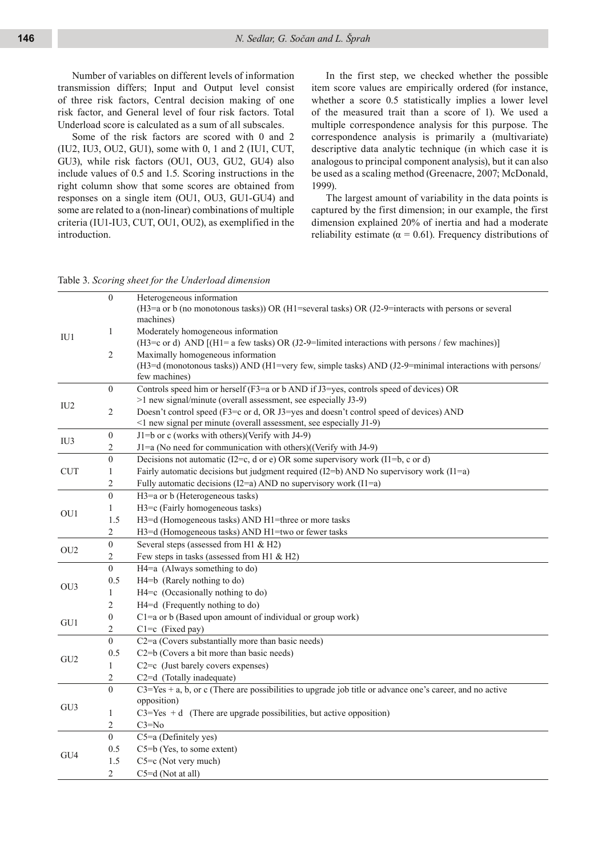Number of variables on different levels of information transmission differs; Input and Output level consist of three risk factors, Central decision making of one risk factor, and General level of four risk factors. Total Underload score is calculated as a sum of all subscales.

Some of the risk factors are scored with 0 and 2 (IU2, IU3, OU2, GU1), some with 0, 1 and 2 (IU1, CUT, GU3), while risk factors (OU1, OU3, GU2, GU4) also include values of 0.5 and 1.5. Scoring instructions in the right column show that some scores are obtained from responses on a single item (OU1, OU3, GU1-GU4) and some are related to a (non-linear) combinations of multiple criteria (IU1-IU3, CUT, OU1, OU2), as exemplified in the introduction.

In the first step, we checked whether the possible item score values are empirically ordered (for instance, whether a score 0.5 statistically implies a lower level of the measured trait than a score of 1). We used a multiple correspondence analysis for this purpose. The correspondence analysis is primarily a (multivariate) descriptive data analytic technique (in which case it is analogous to principal component analysis), but it can also be used as a scaling method (Greenacre, 2007; McDonald, 1999).

The largest amount of variability in the data points is captured by the first dimension; in our example, the first dimension explained 20% of inertia and had a moderate reliability estimate ( $\alpha$  = 0.61). Frequency distributions of

#### Table 3. *Scoring sheet for the Underload dimension*

|                 | $\boldsymbol{0}$ | Heterogeneous information<br>$(H3=a \text{ or } b \text{ (no monotonous tasks)}) \text{ OR } (H1=\text{several tasks}) \text{ OR } (J2-9=\text{interacts with persons or several tasks})$ |
|-----------------|------------------|-------------------------------------------------------------------------------------------------------------------------------------------------------------------------------------------|
|                 |                  | machines)                                                                                                                                                                                 |
| IU1             | $\mathbf{1}$     | Moderately homogeneous information                                                                                                                                                        |
|                 |                  | (H3=c or d) AND [(H1= a few tasks) OR (J2-9=limited interactions with persons / few machines)]                                                                                            |
|                 | 2                | Maximally homogeneous information                                                                                                                                                         |
|                 |                  | $(H3=d \text{ (monotonous tasks)})$ AND $(H1=very few, simple tasks)$ AND $(J2-9=minimal interactions with persons/$                                                                      |
|                 |                  | few machines)                                                                                                                                                                             |
|                 | $\boldsymbol{0}$ | Controls speed him or herself (F3=a or b AND if J3=yes, controls speed of devices) OR<br>>1 new signal/minute (overall assessment, see especially J3-9)                                   |
| IU <sub>2</sub> |                  |                                                                                                                                                                                           |
|                 | 2                | Doesn't control speed (F3=c or d, OR J3=yes and doesn't control speed of devices) AND                                                                                                     |
|                 |                  | <1 new signal per minute (overall assessment, see especially J1-9)                                                                                                                        |
| IU <sub>3</sub> | $\boldsymbol{0}$ | J1=b or c (works with others)(Verify with J4-9)                                                                                                                                           |
|                 | 2                | $J1=a$ (No need for communication with others)((Verify with $J4-9$ )                                                                                                                      |
|                 | $\boldsymbol{0}$ | Decisions not automatic (I2=c, d or e) OR some supervisory work (I1=b, c or d)                                                                                                            |
| <b>CUT</b>      | $\mathbf{1}$     | Fairly automatic decisions but judgment required ( $12=$ b) AND No supervisory work ( $11=$ a)                                                                                            |
|                 | $\overline{c}$   | Fully automatic decisions (I2=a) AND no supervisory work (I1=a)                                                                                                                           |
|                 | $\mathbf{0}$     | H3=a or b (Heterogeneous tasks)                                                                                                                                                           |
| OU1             | $\mathbf{1}$     | H3=c (Fairly homogeneous tasks)                                                                                                                                                           |
|                 | 1.5              | H3=d (Homogeneous tasks) AND H1=three or more tasks                                                                                                                                       |
|                 | $\overline{c}$   | H3=d (Homogeneous tasks) AND H1=two or fewer tasks                                                                                                                                        |
| OU <sub>2</sub> | $\overline{0}$   | Several steps (assessed from H1 & H2)                                                                                                                                                     |
|                 | $\overline{c}$   | Few steps in tasks (assessed from H1 & H2)                                                                                                                                                |
|                 | $\overline{0}$   | H4=a (Always something to do)                                                                                                                                                             |
| OU <sub>3</sub> | 0.5              | H4=b (Rarely nothing to do)                                                                                                                                                               |
|                 | 1                | H4=c (Occasionally nothing to do)                                                                                                                                                         |
|                 | 2                | H4=d (Frequently nothing to do)                                                                                                                                                           |
|                 | $\boldsymbol{0}$ | $C1$ =a or b (Based upon amount of individual or group work)                                                                                                                              |
| GU1             | $\overline{c}$   | $C1=c$ (Fixed pay)                                                                                                                                                                        |
|                 | $\overline{0}$   | C2=a (Covers substantially more than basic needs)                                                                                                                                         |
|                 | 0.5              | C <sub>2</sub> =b (Covers a bit more than basic needs)                                                                                                                                    |
| GU <sub>2</sub> | $\mathbf{1}$     | $C2=c$ (Just barely covers expenses)                                                                                                                                                      |
|                 | 2                | C <sub>2</sub> =d (Totally inadequate)                                                                                                                                                    |
|                 | $\mathbf{0}$     | $C3 = Yes + a$ , b, or c (There are possibilities to upgrade job title or advance one's career, and no active                                                                             |
|                 |                  | opposition)                                                                                                                                                                               |
| GU <sub>3</sub> | $\mathbf{1}$     | $C3 = Yes + d$ (There are upgrade possibilities, but active opposition)                                                                                                                   |
|                 | $\overline{c}$   | $C3 = No$                                                                                                                                                                                 |
|                 | $\overline{0}$   | C5=a (Definitely yes)                                                                                                                                                                     |
|                 | 0.5              | C5=b (Yes, to some extent)                                                                                                                                                                |
| GU <sub>4</sub> | 1.5              | C5=c (Not very much)                                                                                                                                                                      |
|                 | 2                | C5=d (Not at all)                                                                                                                                                                         |
|                 |                  |                                                                                                                                                                                           |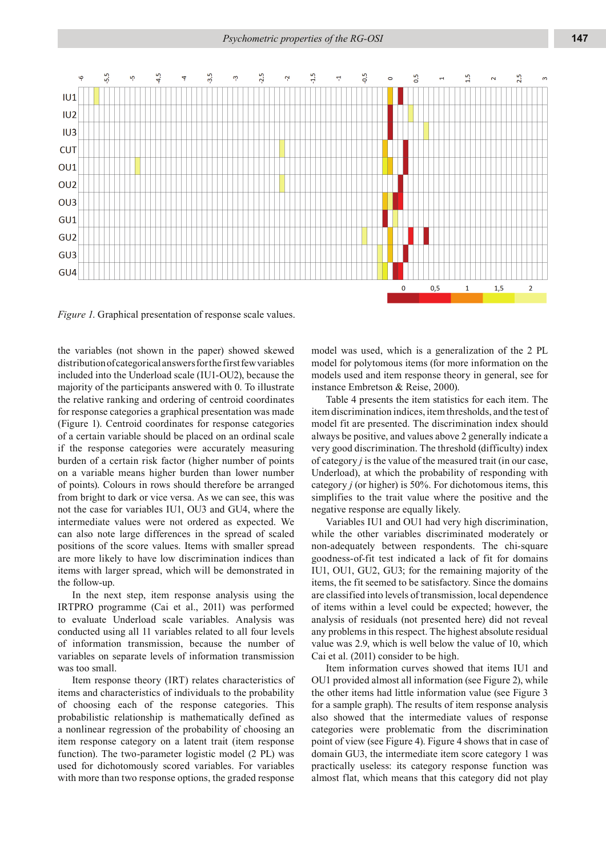

*Figure 1*. Graphical presentation of response scale values.

the variables (not shown in the paper) showed skewed distribution of categorical answers for the first few variables included into the Underload scale (IU1-OU2), because the majority of the participants answered with 0. To illustrate the relative ranking and ordering of centroid coordinates for response categories a graphical presentation was made (Figure 1). Centroid coordinates for response categories of a certain variable should be placed on an ordinal scale if the response categories were accurately measuring burden of a certain risk factor (higher number of points on a variable means higher burden than lower number of points). Colours in rows should therefore be arranged from bright to dark or vice versa. As we can see, this was not the case for variables IU1, OU3 and GU4, where the intermediate values were not ordered as expected. We can also note large differences in the spread of scaled positions of the score values. Items with smaller spread are more likely to have low discrimination indices than items with larger spread, which will be demonstrated in the follow-up.

In the next step, item response analysis using the IRTPRO programme (Cai et al., 2011) was performed to evaluate Underload scale variables. Analysis was conducted using all 11 variables related to all four levels of information transmission, because the number of variables on separate levels of information transmission was too small.

Item response theory (IRT) relates characteristics of items and characteristics of individuals to the probability of choosing each of the response categories. This probabilistic relationship is mathematically defined as a nonlinear regression of the probability of choosing an item response category on a latent trait (item response function). The two-parameter logistic model (2 PL) was used for dichotomously scored variables. For variables with more than two response options, the graded response

model was used, which is a generalization of the 2 PL model for polytomous items (for more information on the models used and item response theory in general, see for instance Embretson & Reise, 2000).

Table 4 presents the item statistics for each item. The item discrimination indices, item thresholds, and the test of model fit are presented. The discrimination index should always be positive, and values above 2 generally indicate a very good discrimination. The threshold (difficulty) index of category *j* is the value of the measured trait (in our case, Underload), at which the probability of responding with category *j* (or higher) is 50%. For dichotomous items, this simplifies to the trait value where the positive and the negative response are equally likely.

Variables IU1 and OU1 had very high discrimination, while the other variables discriminated moderately or non-adequately between respondents. The chi-square goodness-of-fit test indicated a lack of fit for domains IU1, OU1, GU2, GU3; for the remaining majority of the items, the fit seemed to be satisfactory. Since the domains are classified into levels of transmission, local dependence of items within a level could be expected; however, the analysis of residuals (not presented here) did not reveal any problems in this respect. The highest absolute residual value was 2.9, which is well below the value of 10, which Cai et al. (2011) consider to be high.

Item information curves showed that items IU1 and OU1 provided almost all information (see Figure 2), while the other items had little information value (see Figure 3 for a sample graph). The results of item response analysis also showed that the intermediate values of response categories were problematic from the discrimination point of view (see Figure 4). Figure 4 shows that in case of domain GU3, the intermediate item score category 1 was practically useless: its category response function was almost flat, which means that this category did not play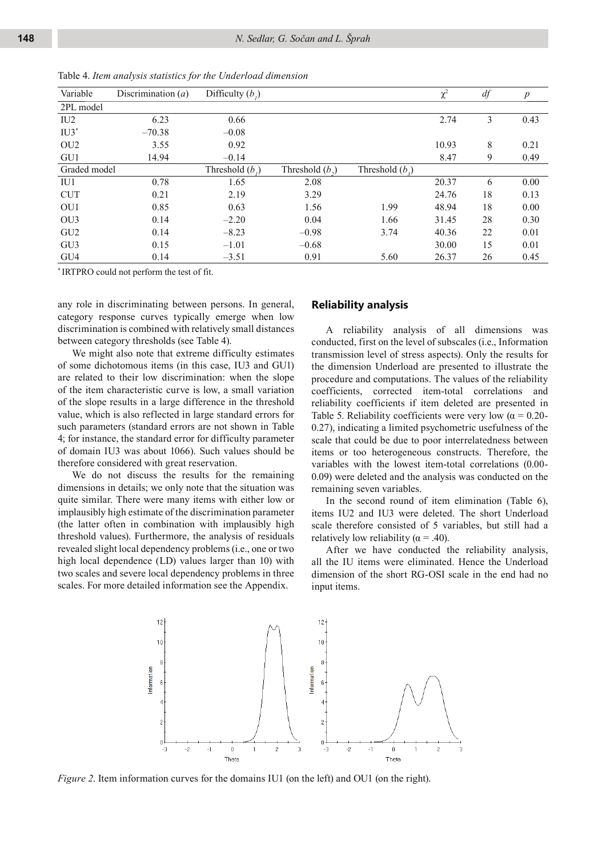| Variable        | Discrimination $(a)$ | Difficulty $(b_i)$ |                   |                   | $\chi^2$ | df | $\boldsymbol{p}$ |
|-----------------|----------------------|--------------------|-------------------|-------------------|----------|----|------------------|
| 2PL model       |                      |                    |                   |                   |          |    |                  |
| IU <sub>2</sub> | 6.23                 | 0.66               |                   |                   | 2.74     | 3  | 0.43             |
| $IU3^*$         | $-70.38$             | $-0.08$            |                   |                   |          |    |                  |
| OU <sub>2</sub> | 3.55                 | 0.92               |                   |                   | 10.93    | 8  | 0.21             |
| GU1             | 14.94                | $-0.14$            |                   |                   | 8.47     | 9  | 0.49             |
| Graded model    |                      | Threshold $(b_1)$  | Threshold $(b_2)$ | Threshold $(b_2)$ |          |    |                  |
| IU1             | 0.78                 | 1.65               | 2.08              |                   | 20.37    | 6  | 0.00             |
| <b>CUT</b>      | 0.21                 | 2.19               | 3.29              |                   | 24.76    | 18 | 0.13             |
| OU1             | 0.85                 | 0.63               | 1.56              | 1.99              | 48.94    | 18 | 0.00             |
| OU <sub>3</sub> | 0.14                 | $-2.20$            | 0.04              | 1.66              | 31.45    | 28 | 0.30             |
| GU <sub>2</sub> | 0.14                 | $-8.23$            | $-0.98$           | 3.74              | 40.36    | 22 | 0.01             |
| GU <sub>3</sub> | 0.15                 | $-1.01$            | $-0.68$           |                   | 30.00    | 15 | 0.01             |
| GU4             | 0.14                 | $-3.51$            | 0.91              | 5.60              | 26.37    | 26 | 0.45             |

Table 4. *Item analysis statistics for the Underload dimension*

\* IRTPRO could not perform the test of fit.

any role in discriminating between persons. In general, category response curves typically emerge when low discrimination is combined with relatively small distances between category thresholds (see Table 4).

We might also note that extreme difficulty estimates of some dichotomous items (in this case, IU3 and GU1) are related to their low discrimination: when the slope of the item characteristic curve is low, a small variation of the slope results in a large difference in the threshold value, which is also reflected in large standard errors for such parameters (standard errors are not shown in Table 4; for instance, the standard error for difficulty parameter of domain IU3 was about 1066). Such values should be therefore considered with great reservation.

We do not discuss the results for the remaining dimensions in details; we only note that the situation was quite similar. There were many items with either low or implausibly high estimate of the discrimination parameter (the latter often in combination with implausibly high threshold values). Furthermore, the analysis of residuals revealed slight local dependency problems (i.e., one or two high local dependence (LD) values larger than 10) with two scales and severe local dependency problems in three scales. For more detailed information see the Appendix.

### **Reliability analysis**

A reliability analysis of all dimensions was conducted, first on the level of subscales (i.e., Information transmission level of stress aspects). Only the results for the dimension Underload are presented to illustrate the procedure and computations. The values of the reliability coefficients, corrected item-total correlations and reliability coefficients if item deleted are presented in Table 5. Reliability coefficients were very low ( $\alpha = 0.20$ -0.27), indicating a limited psychometric usefulness of the scale that could be due to poor interrelatedness between items or too heterogeneous constructs. Therefore, the variables with the lowest item-total correlations (0.00- 0.09) were deleted and the analysis was conducted on the remaining seven variables.

In the second round of item elimination (Table 6), items IU2 and IU3 were deleted. The short Underload scale therefore consisted of 5 variables, but still had a relatively low reliability ( $\alpha$  = .40).

After we have conducted the reliability analysis, all the IU items were eliminated. Hence the Underload dimension of the short RG-OSI scale in the end had no input items.



*Figure 2.* Item information curves for the domains IU1 (on the left) and OU1 (on the right).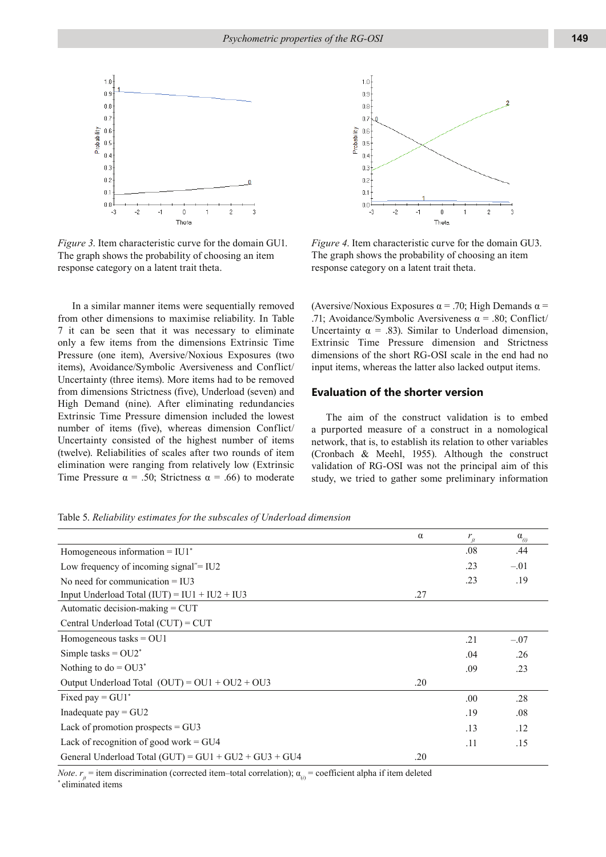

*Figure 3*. Item characteristic curve for the domain GU1. The graph shows the probability of choosing an item response category on a latent trait theta.

In a similar manner items were sequentially removed from other dimensions to maximise reliability. In Table 7 it can be seen that it was necessary to eliminate only a few items from the dimensions Extrinsic Time Pressure (one item), Aversive/Noxious Exposures (two items), Avoidance/Symbolic Aversiveness and Conflict/ Uncertainty (three items). More items had to be removed from dimensions Strictness (five), Underload (seven) and High Demand (nine). After eliminating redundancies Extrinsic Time Pressure dimension included the lowest number of items (five), whereas dimension Conflict/ Uncertainty consisted of the highest number of items (twelve). Reliabilities of scales after two rounds of item elimination were ranging from relatively low (Extrinsic Time Pressure  $\alpha = .50$ ; Strictness  $\alpha = .66$ ) to moderate



*Figure 4*. Item characteristic curve for the domain GU3. The graph shows the probability of choosing an item response category on a latent trait theta.

(Aversive/Noxious Exposures  $\alpha$  = .70; High Demands  $\alpha$  = .71; Avoidance/Symbolic Aversiveness  $\alpha$  = .80; Conflict/ Uncertainty  $\alpha = .83$ ). Similar to Underload dimension, Extrinsic Time Pressure dimension and Strictness dimensions of the short RG-OSI scale in the end had no input items, whereas the latter also lacked output items.

## **Evaluation of the shorter version**

The aim of the construct validation is to embed a purported measure of a construct in a nomological network, that is, to establish its relation to other variables (Cronbach & Meehl, 1955). Although the construct validation of RG-OSI was not the principal aim of this study, we tried to gather some preliminary information

Table 5. *Reliability estimates for the subscales of Underload dimension*

|                                                         | $\alpha$ | $r_{it}$ | $\alpha_{\alpha}$ |
|---------------------------------------------------------|----------|----------|-------------------|
| Homogeneous information $=$ IU1 $*$                     |          | .08      | .44               |
| Low frequency of incoming signal" $=$ IU2               |          | .23      | $-.01$            |
| No need for communication $=$ IU3                       |          | .23      | .19               |
| Input Underload Total $(IUT) = IUI + IU2 + IU3$         | .27      |          |                   |
| Automatic decision-making = CUT                         |          |          |                   |
| Central Underload Total (CUT) = CUT                     |          |          |                   |
| Homogeneous tasks $=$ OU1                               |          | .21      | $-.07$            |
| Simple tasks = $OU2^*$                                  |          | .04      | .26               |
| Nothing to do = $OU3^*$                                 |          | .09      | .23               |
| Output Underload Total $(OUT) = OUI + OU2 + OU3$        | .20      |          |                   |
| Fixed pay = $GU1^*$                                     |          | .00.     | .28               |
| Inadequate pay $=$ GU2                                  |          | .19      | .08               |
| Lack of promotion prospects $=$ GU3                     |          | .13      | .12               |
| Lack of recognition of good work $=$ GU4                |          | .11      | .15               |
| General Underload Total $(GUT) = GU1 + GU2 + GU3 + GU4$ | .20      |          |                   |

*Note.*  $r_{\mu}$  = item discrimination (corrected item–total correlation);  $\alpha_{(i)}$  = coefficient alpha if item deleted \* eliminated items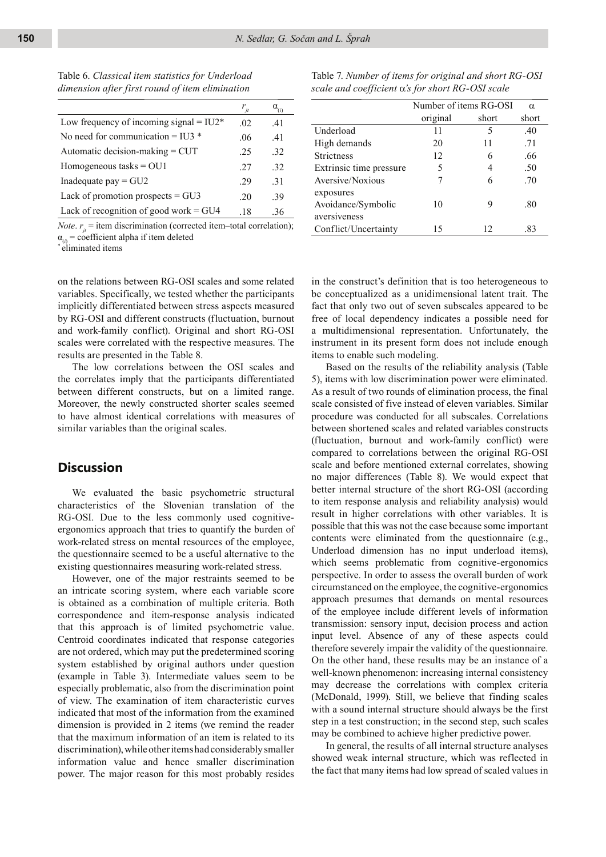Table 6. *Classical item statistics for Underload dimension after first round of item elimination*

|                                           | $r_{\scriptscriptstyle it}$ | $\alpha_{\scriptscriptstyle (i)}$ |
|-------------------------------------------|-----------------------------|-----------------------------------|
| Low frequency of incoming signal = $IU2*$ | 02                          | 41                                |
| No need for communication = IU3 $*$       | .06                         | .41                               |
| Automatic decision-making = CUT           | 25                          | .32                               |
| Homogeneous tasks $=$ OU1                 | 27                          | 32                                |
| Inadequate pay $=$ GU2                    | 29                          | .31                               |
| Lack of promotion prospects $=$ GU3       | 20                          | -39                               |
| Lack of recognition of good work $=$ GU4  | -18                         | -36                               |

*Note.*  $r_{\mu}$  = item discrimination (corrected item–total correlation);  $\alpha_{(i)}$  = coefficient alpha if item deleted

\* eliminated items

on the relations between RG-OSI scales and some related variables. Specifically, we tested whether the participants implicitly differentiated between stress aspects measured by RG-OSI and different constructs (fluctuation, burnout and work-family conflict). Original and short RG-OSI scales were correlated with the respective measures. The results are presented in the Table 8.

The low correlations between the OSI scales and the correlates imply that the participants differentiated between different constructs, but on a limited range. Moreover, the newly constructed shorter scales seemed to have almost identical correlations with measures of similar variables than the original scales.

# **Discussion**

We evaluated the basic psychometric structural characteristics of the Slovenian translation of the RG-OSI. Due to the less commonly used cognitiveergonomics approach that tries to quantify the burden of work-related stress on mental resources of the employee, the questionnaire seemed to be a useful alternative to the existing questionnaires measuring work-related stress.

However, one of the major restraints seemed to be an intricate scoring system, where each variable score is obtained as a combination of multiple criteria. Both correspondence and item-response analysis indicated that this approach is of limited psychometric value. Centroid coordinates indicated that response categories are not ordered, which may put the predetermined scoring system established by original authors under question (example in Table 3). Intermediate values seem to be especially problematic, also from the discrimination point of view. The examination of item characteristic curves indicated that most of the information from the examined dimension is provided in 2 items (we remind the reader that the maximum information of an item is related to its discrimination), while other items had considerably smaller information value and hence smaller discrimination power. The major reason for this most probably resides

| Table 7. Number of items for original and short RG-OSI |
|--------------------------------------------------------|
| scale and coefficient α's for short RG-OSI scale       |

|                         | Number of items RG-OSI |       | $\alpha$ |
|-------------------------|------------------------|-------|----------|
|                         | original               | short | short    |
| Underload               | 11                     | 5     | .40      |
| High demands            | 20                     | 11    | .71      |
| <b>Strictness</b>       | 12                     | 6     | .66      |
| Extrinsic time pressure | 5                      | 4     | .50      |
| Aversive/Noxious        | 7                      | 6     | .70      |
| exposures               |                        |       |          |
| Avoidance/Symbolic      | 10                     | 9     | .80      |
| aversiveness            |                        |       |          |
| Conflict/Uncertainty    | 15                     | 12    | .83      |

in the construct's definition that is too heterogeneous to be conceptualized as a unidimensional latent trait. The fact that only two out of seven subscales appeared to be free of local dependency indicates a possible need for a multidimensional representation. Unfortunately, the instrument in its present form does not include enough items to enable such modeling.

Based on the results of the reliability analysis (Table 5), items with low discrimination power were eliminated. As a result of two rounds of elimination process, the final scale consisted of five instead of eleven variables. Similar procedure was conducted for all subscales. Correlations between shortened scales and related variables constructs (fluctuation, burnout and work-family conflict) were compared to correlations between the original RG-OSI scale and before mentioned external correlates, showing no major differences (Table 8). We would expect that better internal structure of the short RG-OSI (according to item response analysis and reliability analysis) would result in higher correlations with other variables. It is possible that this was not the case because some important contents were eliminated from the questionnaire (e.g., Underload dimension has no input underload items), which seems problematic from cognitive-ergonomics perspective. In order to assess the overall burden of work circumstanced on the employee, the cognitive-ergonomics approach presumes that demands on mental resources of the employee include different levels of information transmission: sensory input, decision process and action input level. Absence of any of these aspects could therefore severely impair the validity of the questionnaire. On the other hand, these results may be an instance of a well-known phenomenon: increasing internal consistency may decrease the correlations with complex criteria (McDonald, 1999). Still, we believe that finding scales with a sound internal structure should always be the first step in a test construction; in the second step, such scales may be combined to achieve higher predictive power.

In general, the results of all internal structure analyses showed weak internal structure, which was reflected in the fact that many items had low spread of scaled values in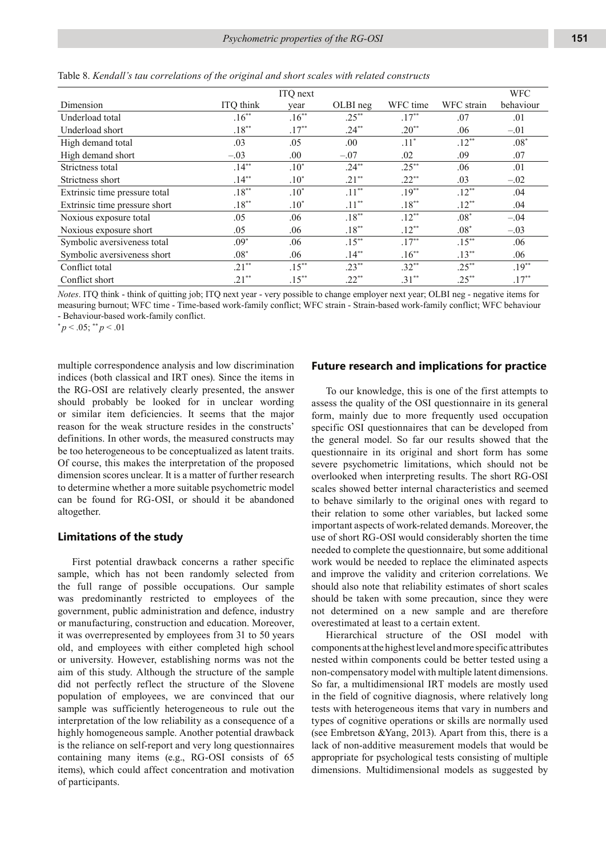|                               |           | ITQ next |          |          |            | <b>WFC</b> |
|-------------------------------|-----------|----------|----------|----------|------------|------------|
| Dimension                     | ITQ think | year     | OLBI neg | WFC time | WFC strain | behaviour  |
| Underload total               | $.16***$  | $.16***$ | $.25***$ | $.17***$ | .07        | .01        |
| Underload short               | $.18***$  | $.17**$  | $.24**$  | $.20**$  | .06        | $-.01$     |
| High demand total             | .03       | .05      | .00.     | $.11*$   | $.12**$    | $.08*$     |
| High demand short             | $-.03$    | .00.     | $-.07$   | .02      | .09        | .07        |
| Strictness total              | $.14***$  | $.10*$   | $.24***$ | $.25***$ | .06        | .01        |
| Strictness short              | $.14**$   | $.10*$   | $.21**$  | $.22**$  | .03        | $-.02$     |
| Extrinsic time pressure total | $.18***$  | $.10*$   | $.11***$ | $.19**$  | $.12**$    | .04        |
| Extrinsic time pressure short | $.18***$  | $.10^*$  | $.11***$ | $.18***$ | $.12***$   | .04        |
| Noxious exposure total        | .05       | .06      | $.18***$ | $.12***$ | $.08*$     | $-.04$     |
| Noxious exposure short        | .05       | .06      | $.18***$ | $.12**$  | $.08*$     | $-.03$     |
| Symbolic aversiveness total   | $.09*$    | .06      | $.15***$ | $.17***$ | $.15***$   | .06        |
| Symbolic aversiveness short   | $.08*$    | .06      | $.14**$  | $.16**$  | $.13**$    | .06        |
| Conflict total                | $.21**$   | $.15***$ | $.23**$  | $.32**$  | $.25***$   | $.19**$    |
| Conflict short                | $.21***$  | $.15***$ | $.22**$  | $.31***$ | $.25***$   | $.17***$   |

Table 8. *Kendall's tau correlations of the original and short scales with related constructs*

*Notes*. ITQ think - think of quitting job; ITQ next year - very possible to change employer next year; OLBI neg - negative items for measuring burnout; WFC time - Time-based work-family conflict; WFC strain - Strain-based work-family conflict; WFC behaviour - Behaviour-based work-family conflict.

 $p < .05$ ;  $p < .01$ 

multiple correspondence analysis and low discrimination indices (both classical and IRT ones). Since the items in the RG-OSI are relatively clearly presented, the answer should probably be looked for in unclear wording or similar item deficiencies. It seems that the major reason for the weak structure resides in the constructs' definitions. In other words, the measured constructs may be too heterogeneous to be conceptualized as latent traits. Of course, this makes the interpretation of the proposed dimension scores unclear. It is a matter of further research to determine whether a more suitable psychometric model can be found for RG-OSI, or should it be abandoned altogether.

### **Limitations of the study**

First potential drawback concerns a rather specific sample, which has not been randomly selected from the full range of possible occupations. Our sample was predominantly restricted to employees of the government, public administration and defence, industry or manufacturing, construction and education. Moreover, it was overrepresented by employees from 31 to 50 years old, and employees with either completed high school or university. However, establishing norms was not the aim of this study. Although the structure of the sample did not perfectly reflect the structure of the Slovene population of employees, we are convinced that our sample was sufficiently heterogeneous to rule out the interpretation of the low reliability as a consequence of a highly homogeneous sample. Another potential drawback is the reliance on self-report and very long questionnaires containing many items (e.g., RG-OSI consists of 65 items), which could affect concentration and motivation of participants.

## **Future research and implications for practice**

To our knowledge, this is one of the first attempts to assess the quality of the OSI questionnaire in its general form, mainly due to more frequently used occupation specific OSI questionnaires that can be developed from the general model. So far our results showed that the questionnaire in its original and short form has some severe psychometric limitations, which should not be overlooked when interpreting results. The short RG-OSI scales showed better internal characteristics and seemed to behave similarly to the original ones with regard to their relation to some other variables, but lacked some important aspects of work-related demands. Moreover, the use of short RG-OSI would considerably shorten the time needed to complete the questionnaire, but some additional work would be needed to replace the eliminated aspects and improve the validity and criterion correlations. We should also note that reliability estimates of short scales should be taken with some precaution, since they were not determined on a new sample and are therefore overestimated at least to a certain extent.

Hierarchical structure of the OSI model with components at the highest level and more specific attributes nested within components could be better tested using a non-compensatory model with multiple latent dimensions. So far, a multidimensional IRT models are mostly used in the field of cognitive diagnosis, where relatively long tests with heterogeneous items that vary in numbers and types of cognitive operations or skills are normally used (see Embretson &Yang, 2013). Apart from this, there is a lack of non-additive measurement models that would be appropriate for psychological tests consisting of multiple dimensions. Multidimensional models as suggested by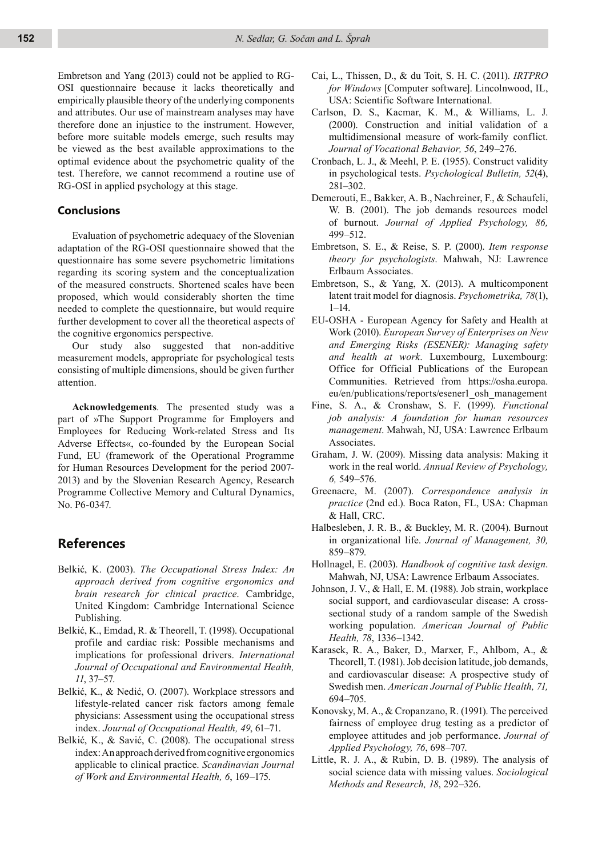Embretson and Yang (2013) could not be applied to RG-OSI questionnaire because it lacks theoretically and empirically plausible theory of the underlying components and attributes. Our use of mainstream analyses may have therefore done an injustice to the instrument. However, before more suitable models emerge, such results may be viewed as the best available approximations to the optimal evidence about the psychometric quality of the test. Therefore, we cannot recommend a routine use of RG-OSI in applied psychology at this stage.

### **Conclusions**

Evaluation of psychometric adequacy of the Slovenian adaptation of the RG-OSI questionnaire showed that the questionnaire has some severe psychometric limitations regarding its scoring system and the conceptualization of the measured constructs. Shortened scales have been proposed, which would considerably shorten the time needed to complete the questionnaire, but would require further development to cover all the theoretical aspects of the cognitive ergonomics perspective.

Our study also suggested that non-additive measurement models, appropriate for psychological tests consisting of multiple dimensions, should be given further attention.

**Acknowledgements**. The presented study was a part of »The Support Programme for Employers and Employees for Reducing Work-related Stress and Its Adverse Effects«, co-founded by the European Social Fund, EU (framework of the Operational Programme for Human Resources Development for the period 2007- 2013) and by the Slovenian Research Agency, Research Programme Collective Memory and Cultural Dynamics, No. P6-0347.

# **References**

- Belkić, K. (2003). *The Occupational Stress Index: An approach derived from cognitive ergonomics and brain research for clinical practice*. Cambridge, United Kingdom: Cambridge International Science Publishing.
- Belkić, K., Emdad, R. & Theorell, T. (1998). Occupational profile and cardiac risk: Possible mechanisms and implications for professional drivers. *International Journal of Occupational and Environmental Health, 11*, 37–57.
- Belkić, K., & Nedić, O. (2007). Workplace stressors and lifestyle-related cancer risk factors among female physicians: Assessment using the occupational stress index. *Journal of Occupational Health, 49*, 61–71.
- Belkić, K., & Savić, C. (2008). The occupational stress index: An approach derived from cognitive ergonomics applicable to clinical practice. *Scandinavian Journal of Work and Environmental Health, 6*, 169–175.
- Cai, L., Thissen, D., & du Toit, S. H. C. (2011). *IRTPRO for Windows* [Computer software]. Lincolnwood, IL, USA: Scientific Software International.
- Carlson, D. S., Kacmar, K. M., & Williams, L. J. (2000). Construction and initial validation of a multidimensional measure of work-family conflict. *Journal of Vocational Behavior, 56*, 249–276.
- Cronbach, L. J., & Meehl, P. E. (1955). Construct validity in psychological tests. *Psychological Bulletin, 52*(4), 281–302.
- Demerouti, E., Bakker, A. B., Nachreiner, F., & Schaufeli, W. B. (2001). The job demands resources model of burnout. *Journal of Applied Psychology, 86,* 499–512.
- Embretson, S. E., & Reise, S. P. (2000). *Item response theory for psychologists*. Mahwah, NJ: Lawrence Erlbaum Associates.
- Embretson, S., & Yang, X. (2013). A multicomponent latent trait model for diagnosis. *Psychometrika, 78*(1),  $1 - 14$ .
- EU-OSHA European Agency for Safety and Health at Work (2010). *European Survey of Enterprises on New and Emerging Risks (ESENER): Managing safety and health at work*. Luxembourg, Luxembourg: Office for Official Publications of the European Communities. Retrieved from https://osha.europa. eu/en/publications/reports/esener1\_osh\_management
- Fine, S. A., & Cronshaw, S. F. (1999). *Functional job analysis: A foundation for human resources management*. Mahwah, NJ, USA: Lawrence Erlbaum Associates.
- Graham, J. W. (2009). Missing data analysis: Making it work in the real world. *Annual Review of Psychology, 6,* 549–576.
- Greenacre, M. (2007). *Correspondence analysis in practice* (2nd ed.). Boca Raton, FL, USA: Chapman & Hall, CRC.
- Halbesleben, J. R. B., & Buckley, M. R. (2004). Burnout in organizational life. *Journal of Management, 30,* 859–879.
- Hollnagel, E. (2003). *Handbook of cognitive task design*. Mahwah, NJ, USA: Lawrence Erlbaum Associates.
- Johnson, J. V., & Hall, E. M. (1988). Job strain, workplace social support, and cardiovascular disease: A crosssectional study of a random sample of the Swedish working population. *American Journal of Public Health, 78*, 1336–1342.
- Karasek, R. A., Baker, D., Marxer, F., Ahlbom, A., & Theorell, T. (1981). Job decision latitude, job demands, and cardiovascular disease: A prospective study of Swedish men. *American Journal of Public Health, 71,* 694–705.
- Konovsky, M. A., & Cropanzano, R. (1991). The perceived fairness of employee drug testing as a predictor of employee attitudes and job performance. *Journal of Applied Psychology, 76*, 698–707.
- Little, R. J. A., & Rubin, D. B. (1989). The analysis of social science data with missing values. *Sociological Methods and Research, 18*, 292–326.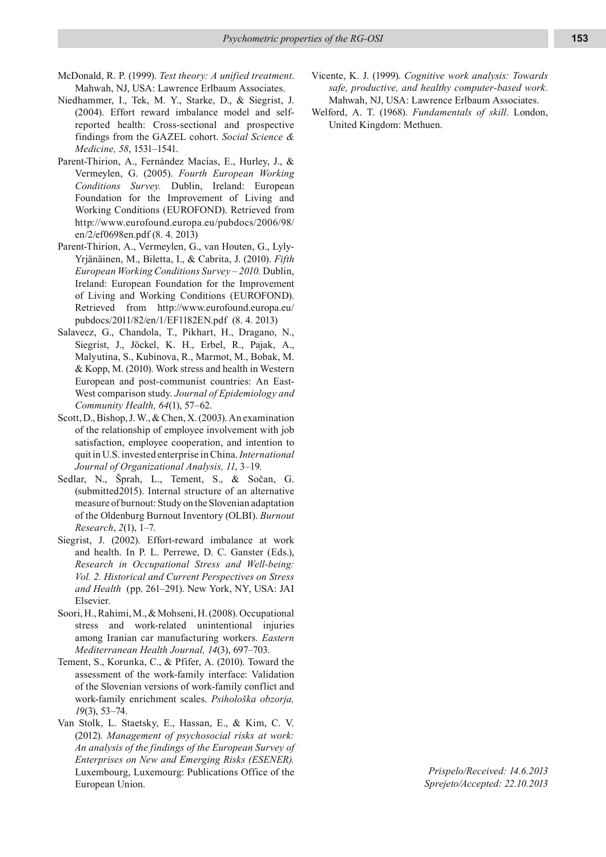- McDonald, R. P. (1999). *Test theory: A unified treatment*. Mahwah, NJ, USA: Lawrence Erlbaum Associates.
- Niedhammer, I., Tek, M. Y., Starke, D., & Siegrist, J. (2004). Effort reward imbalance model and selfreported health: Cross-sectional and prospective findings from the GAZEL cohort. *Social Science & Medicine, 58*, 1531–1541.
- Parent-Thirion, A., Fernández Macías, E., Hurley, J., & Vermeylen, G. (2005). *Fourth European Working Conditions Survey.* Dublin, Ireland: European Foundation for the Improvement of Living and Working Conditions (EUROFOND). Retrieved from http://www.eurofound.europa.eu/pubdocs/2006/98/ en/2/ef0698en.pdf (8. 4. 2013)
- Parent-Thirion, A., Vermeylen, G., van Houten, G., Lyly-Yrjänäinen, M., Biletta, I., & Cabrita, J. (2010). *Fifth European Working Conditions Survey – 2010.* Dublin, Ireland: European Foundation for the Improvement of Living and Working Conditions (EUROFOND). Retrieved from http://www.eurofound.europa.eu/ pubdocs/2011/82/en/1/EF1182EN.pdf (8. 4. 2013)
- Salavecz, G., Chandola, T., Pikhart, H., Dragano, N., Siegrist, J., Jöckel, K. H., Erbel, R., Pajak, A., Malyutina, S., Kubinova, R., Marmot, M., Bobak, M. & Kopp, M. (2010). Work stress and health in Western European and post-communist countries: An East-West comparison study. *Journal of Epidemiology and Community Health, 64*(1), 57–62.
- Scott, D., Bishop, J. W., & Chen, X. (2003). An examination of the relationship of employee involvement with job satisfaction, employee cooperation, and intention to quit in U.S. invested enterprise in China. *International Journal of Organizational Analysis, 11*, 3–19.
- Sedlar, N., Šprah, L., Tement, S., & Sočan, G. (submitted2015). Internal structure of an alternative measure of burnout: Study on the Slovenian adaptation of the Oldenburg Burnout Inventory (OLBI). *Burnout Research*, *2*(1), 1–7.
- Siegrist, J. (2002). Effort-reward imbalance at work and health. In P. L. Perrewe, D. C. Ganster (Eds.), *Research in Occupational Stress and Well-being: Vol. 2. Historical and Current Perspectives on Stress and Health* (pp. 261–291). New York, NY, USA: JAI Elsevier.
- Soori, H., Rahimi, M., & Mohseni, H. (2008). Occupational stress and work-related unintentional injuries among Iranian car manufacturing workers. *Eastern Mediterranean Health Journal, 14*(3), 697–703.
- Tement, S., Korunka, C., & Pfifer, A. (2010). Toward the assessment of the work-family interface: Validation of the Slovenian versions of work-family conflict and work-family enrichment scales. *Psihološka obzorja, 19*(3), 53–74.
- Van Stolk, L. Staetsky, E., Hassan, E., & Kim, C. V. (2012). *Management of psychosocial risks at work: An analysis of the findings of the European Survey of Enterprises on New and Emerging Risks (ESENER).* Luxembourg, Luxemourg: Publications Office of the European Union.
- Vicente, K. J. (1999). *Cognitive work analysis: Towards safe, productive, and healthy computer-based work.*  Mahwah, NJ, USA: Lawrence Erlbaum Associates.
- Welford, A. T. (1968). *Fundamentals of skill*. London, United Kingdom: Methuen.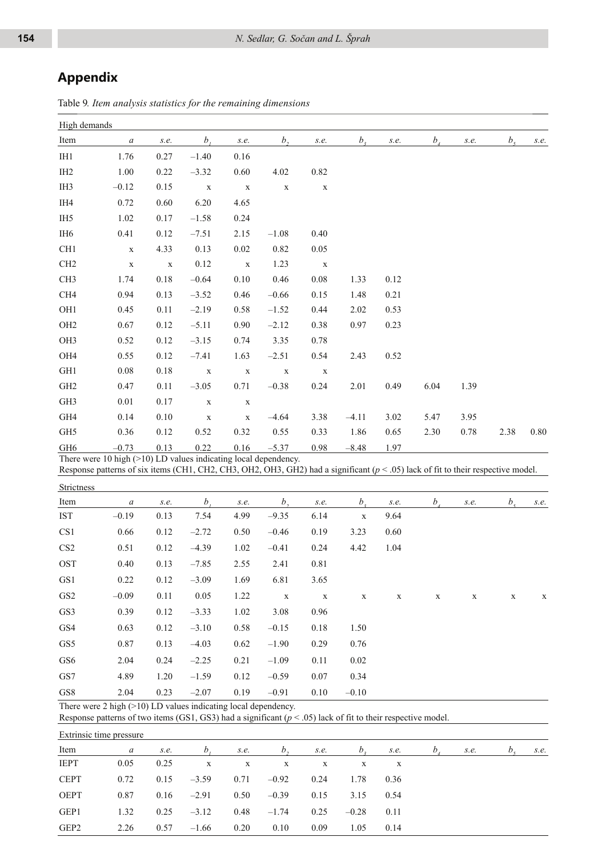# **Appendix**

Table 9*. Item analysis statistics for the remaining dimensions*

| High demands         |                                                                                                                                                                                                             |              |               |              |               |              |                                            |              |                            |      |                |      |
|----------------------|-------------------------------------------------------------------------------------------------------------------------------------------------------------------------------------------------------------|--------------|---------------|--------------|---------------|--------------|--------------------------------------------|--------------|----------------------------|------|----------------|------|
| Item                 | $\boldsymbol{a}$                                                                                                                                                                                            | s.e.         | $b_i$         | s.e.         | b,            | s.e.         | b <sub>3</sub>                             | s.e.         | $b_{\scriptscriptstyle A}$ | s.e. | b <sub>5</sub> | s.e. |
| I <sub>H1</sub>      | 1.76                                                                                                                                                                                                        | 0.27         | $-1.40$       | 0.16         |               |              |                                            |              |                            |      |                |      |
| IH <sub>2</sub>      | 1.00                                                                                                                                                                                                        | 0.22         | $-3.32$       | 0.60         | 4.02          | 0.82         |                                            |              |                            |      |                |      |
| IH <sub>3</sub>      | $-0.12$                                                                                                                                                                                                     | 0.15         | $\mathbf X$   | $\mathbf X$  | $\mathbf X$   | $\mathbf X$  |                                            |              |                            |      |                |      |
| IH4                  | 0.72                                                                                                                                                                                                        | 0.60         | 6.20          | 4.65         |               |              |                                            |              |                            |      |                |      |
| IH <sub>5</sub>      | 1.02                                                                                                                                                                                                        | 0.17         | $-1.58$       | 0.24         |               |              |                                            |              |                            |      |                |      |
| IH <sub>6</sub>      | 0.41                                                                                                                                                                                                        | 0.12         | $-7.51$       | 2.15         | $-1.08$       | 0.40         |                                            |              |                            |      |                |      |
| CH1                  | $\mathbf X$                                                                                                                                                                                                 | 4.33         | 0.13          | $0.02\,$     | 0.82          | 0.05         |                                            |              |                            |      |                |      |
| CH <sub>2</sub>      | $\mathbf X$                                                                                                                                                                                                 | $\mathbf X$  | 0.12          | $\mathbf X$  | 1.23          | $\mathbf X$  |                                            |              |                            |      |                |      |
| CH <sub>3</sub>      | 1.74                                                                                                                                                                                                        | $0.18\,$     | $-0.64$       | $0.10\,$     | 0.46          | $0.08\,$     | 1.33                                       | 0.12         |                            |      |                |      |
| CH4                  | 0.94                                                                                                                                                                                                        | 0.13         | $-3.52$       | 0.46         | $-0.66$       | 0.15         | 1.48                                       | 0.21         |                            |      |                |      |
| OH1                  | 0.45                                                                                                                                                                                                        | 0.11         | $-2.19$       | 0.58         | $-1.52$       | 0.44         | 2.02                                       | 0.53         |                            |      |                |      |
| OH <sub>2</sub>      | 0.67                                                                                                                                                                                                        | 0.12         | $-5.11$       | 0.90         | $-2.12$       | 0.38         | 0.97                                       | 0.23         |                            |      |                |      |
| OH3                  | 0.52                                                                                                                                                                                                        | 0.12         | $-3.15$       | 0.74         | 3.35          | 0.78         |                                            |              |                            |      |                |      |
| OH4                  | 0.55                                                                                                                                                                                                        | 0.12         | $-7.41$       | 1.63         | $-2.51$       | 0.54         | 2.43                                       | 0.52         |                            |      |                |      |
| GH1                  | 0.08                                                                                                                                                                                                        | $0.18\,$     | $\mathbf X$   | $\mathbf X$  | $\mathbf X$   | $\mathbf X$  |                                            |              |                            |      |                |      |
| GH <sub>2</sub>      | 0.47                                                                                                                                                                                                        | 0.11         | $-3.05$       | 0.71         | $-0.38$       | 0.24         | 2.01                                       | 0.49         | 6.04                       | 1.39 |                |      |
| GH3                  | 0.01                                                                                                                                                                                                        | 0.17         | $\mathbf X$   | $\mathbf X$  |               |              |                                            |              |                            |      |                |      |
| GH4                  | 0.14                                                                                                                                                                                                        | 0.10         | $\mathbf X$   | $\mathbf X$  | $-4.64$       | 3.38         | $-4.11$                                    | 3.02         | 5.47                       | 3.95 |                |      |
| GH5                  | 0.36                                                                                                                                                                                                        | 0.12         | 0.52          | 0.32         | 0.55          | 0.33         | 1.86                                       | 0.65         | 2.30                       | 0.78 | 2.38           | 0.80 |
| GH <sub>6</sub>      | $-0.73$                                                                                                                                                                                                     | 0.13         | 0.22          | 0.16         | $-5.37$       | 0.98         | $-8.48$                                    | 1.97         |                            |      |                |      |
|                      | There were $10$ high $(>10)$ LD values indicating local dependency.<br>Response patterns of six items (CH1, CH2, CH3, OH2, OH3, GH2) had a significant ( $p < .05$ ) lack of fit to their respective model. |              |               |              |               |              |                                            |              |                            |      |                |      |
|                      |                                                                                                                                                                                                             |              |               |              |               |              |                                            |              |                            |      |                |      |
| Strictness           |                                                                                                                                                                                                             |              |               |              |               |              |                                            |              |                            |      |                |      |
| Item<br><b>IST</b>   | $\boldsymbol{a}$<br>$-0.19$                                                                                                                                                                                 | s.e.<br>0.13 | $b_i$<br>7.54 | s.e.<br>4.99 | b,<br>$-9.35$ | s.e.<br>6.14 | $b_{\scriptscriptstyle{3}}$<br>$\mathbf X$ | s.e.<br>9.64 | $b_{\lambda}$              | s.e. | b <sub>5</sub> | s.e. |
| CS <sub>1</sub>      | 0.66                                                                                                                                                                                                        | 0.12         | $-2.72$       | 0.50         | $-0.46$       | 0.19         | 3.23                                       | 0.60         |                            |      |                |      |
| CS <sub>2</sub>      | 0.51                                                                                                                                                                                                        | 0.12         | $-4.39$       | 1.02         | $-0.41$       | 0.24         | 4.42                                       | 1.04         |                            |      |                |      |
| <b>OST</b>           | 0.40                                                                                                                                                                                                        |              |               |              | 2.41          |              |                                            |              |                            |      |                |      |
|                      |                                                                                                                                                                                                             | 0.13         | $-7.85$       | 2.55         |               | 0.81         |                                            |              |                            |      |                |      |
| GS1                  | 0.22                                                                                                                                                                                                        | 0.12         | $-3.09$       | 1.69         | 6.81          | 3.65         |                                            |              |                            |      |                |      |
| $\operatorname{GS2}$ | $-0.09$                                                                                                                                                                                                     | $0.11\,$     | 0.05          | 1.22         | $\mathbf X$   | $\mathbf X$  | $\mathbf X$                                | X            | X                          | X    | $\mathbf X$    | X    |
| GS3                  | 0.39                                                                                                                                                                                                        | 0.12         | $-3.33$       | 1.02         | 3.08          | 0.96         |                                            |              |                            |      |                |      |
| GS4                  | 0.63                                                                                                                                                                                                        | 0.12         | $-3.10$       | 0.58         | $-0.15$       | $0.18\,$     | 1.50                                       |              |                            |      |                |      |
| GS5                  | 0.87                                                                                                                                                                                                        | 0.13         | $-4.03$       | 0.62         | $-1.90$       | 0.29         | 0.76                                       |              |                            |      |                |      |
| GS6                  | 2.04                                                                                                                                                                                                        | 0.24         | $-2.25$       | 0.21         | $-1.09$       | 0.11         | 0.02                                       |              |                            |      |                |      |
| GS7                  | 4.89                                                                                                                                                                                                        | 1.20         | $-1.59$       | 0.12         | $-0.59$       | $0.07\,$     | 0.34                                       |              |                            |      |                |      |
| GS8                  | 2.04                                                                                                                                                                                                        | 0.23         | $-2.07$       | 0.19         | $-0.91$       | $0.10\,$     | $-0.10$                                    |              |                            |      |                |      |

There were 2 high (>10) LD values indicating local dependency.

Response patterns of two items (GS1, GS3) had a significant  $(p < .05)$  lack of fit to their respective model.

| Extrinsic time pressure |      |      |              |              |               |      |               |      |       |      |    |      |
|-------------------------|------|------|--------------|--------------|---------------|------|---------------|------|-------|------|----|------|
| Item                    | a    | S.e. | b,           | S.e.         | $b_{\lambda}$ | S.e. | $b_{\lambda}$ | s.e. | $b$ . | S.e. | b. | S.e. |
| <b>IEPT</b>             | 0.05 | 0.25 | $\mathbf{X}$ | $\mathbf{X}$ | $\mathbf{x}$  | X    | X             | X    |       |      |    |      |
| <b>CEPT</b>             | 0.72 | 0.15 | $-3.59$      | 0.71         | $-0.92$       | 0.24 | 1.78          | 0.36 |       |      |    |      |
| <b>OEPT</b>             | 0.87 | 0.16 | $-2.91$      | 0.50         | $-0.39$       | 0.15 | 3.15          | 0.54 |       |      |    |      |
| GEP1                    | 1.32 | 0.25 | $-3.12$      | 0.48         | $-1.74$       | 0.25 | $-0.28$       | 0.11 |       |      |    |      |
| GEP <sub>2</sub>        | 2.26 | 0.57 | $-1.66$      | 0.20         | 0.10          | 0.09 | 1.05          | 0.14 |       |      |    |      |